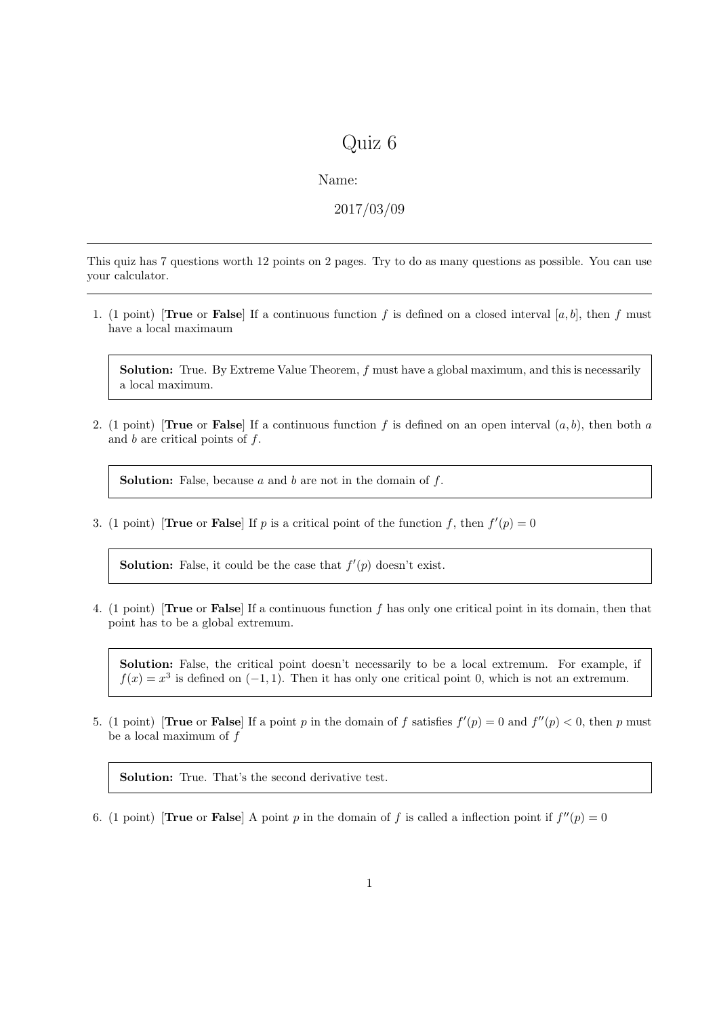## Quiz 6

Name:

2017/03/09

This quiz has 7 questions worth 12 points on 2 pages. Try to do as many questions as possible. You can use your calculator.

1. (1 point) **[True** or **False**] If a continuous function f is defined on a closed interval [a, b], then f must have a local maximaum

Solution: True. By Extreme Value Theorem, f must have a global maximum, and this is necessarily a local maximum.

2. (1 point) **[True** or **False**] If a continuous function f is defined on an open interval  $(a, b)$ , then both a and  $b$  are critical points of  $f$ .

**Solution:** False, because  $a$  and  $b$  are not in the domain of  $f$ .

3. (1 point) **True** or **False** If p is a critical point of the function f, then  $f'(p) = 0$ 

**Solution:** False, it could be the case that  $f'(p)$  doesn't exist.

4. (1 point) [True or False] If a continuous function f has only one critical point in its domain, then that point has to be a global extremum.

Solution: False, the critical point doesn't necessarily to be a local extremum. For example, if  $f(x) = x<sup>3</sup>$  is defined on  $(-1, 1)$ . Then it has only one critical point 0, which is not an extremum.

5. (1 point) **True** or **False** If a point p in the domain of f satisfies  $f'(p) = 0$  and  $f''(p) < 0$ , then p must be a local maximum of f

Solution: True. That's the second derivative test.

6. (1 point) **True** or **False** A point p in the domain of f is called a inflection point if  $f''(p) = 0$